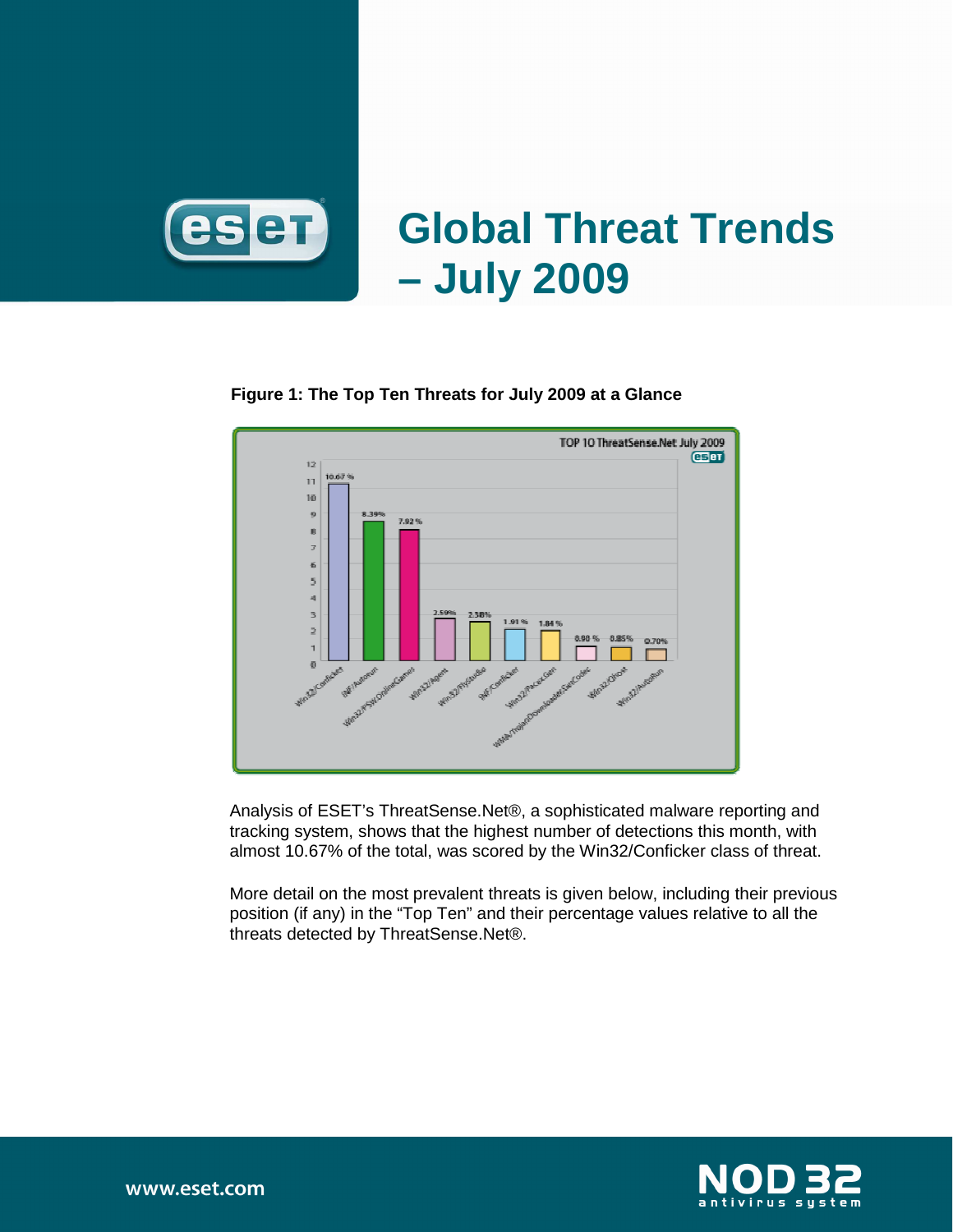

# **Global Threat Trends – July 2009**

### **Figure 1: The Top Ten Threats for July 2009 at a Glance**



Analysis of ESET's ThreatSense.Net®, a sophisticated malware reporting and tracking system, shows that the highest number of detections this month, with almost 10.67% of the total, was scored by the Win32/Conficker class of threat.

More detail on the most prevalent threats is given below, including their previous position (if any) in the "Top Ten" and their percentage values relative to all the threats detected by ThreatSense.Net®.

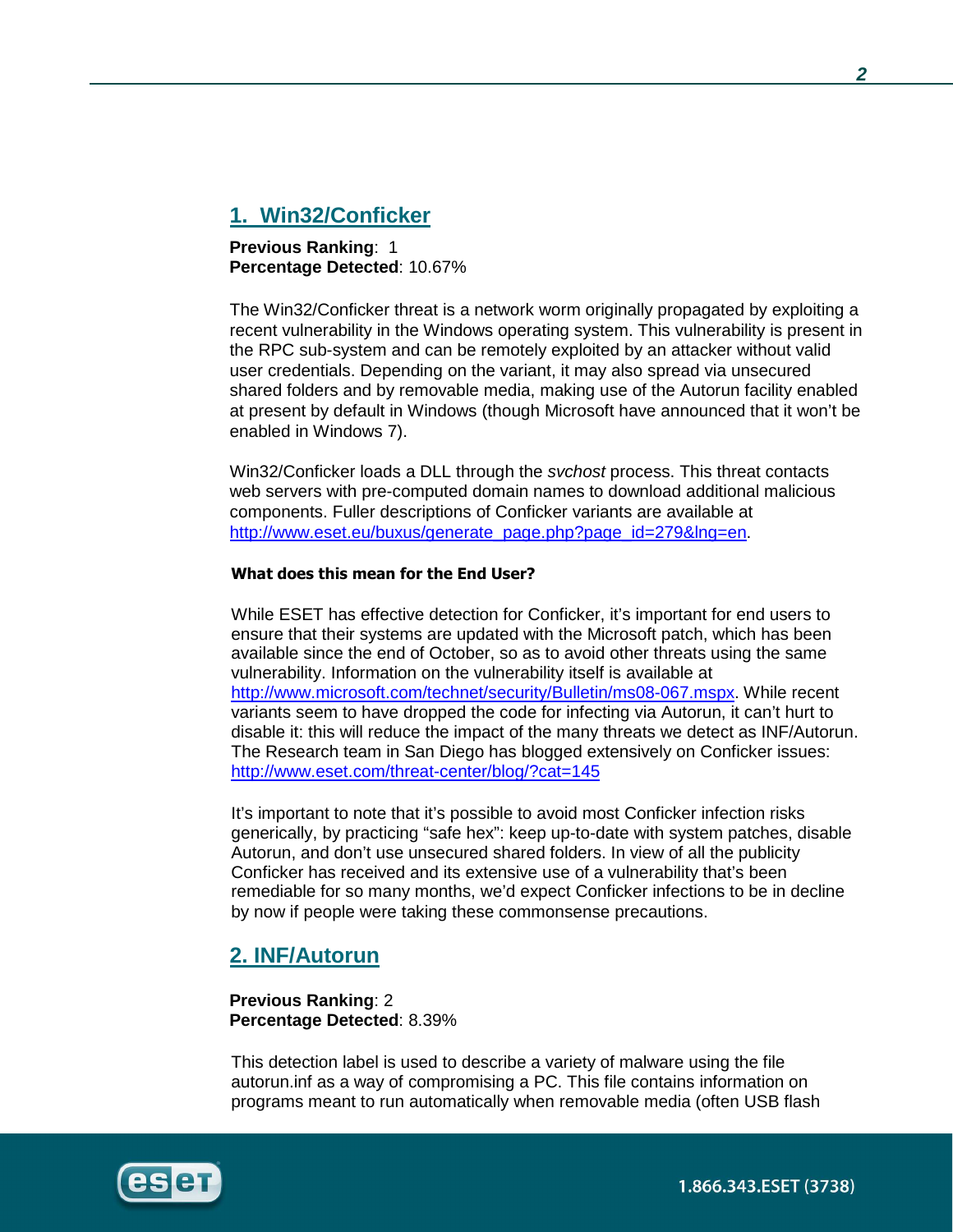# **1. Win32/Conficker**

**Previous Ranking**: 1 **Percentage Detected**: 10.67%

The Win32/Conficker threat is a network worm originally propagated by exploiting a recent vulnerability in the Windows operating system. This vulnerability is present in the RPC sub-system and can be remotely exploited by an attacker without valid user credentials. Depending on the variant, it may also spread via unsecured shared folders and by removable media, making use of the Autorun facility enabled at present by default in Windows (though Microsoft have announced that it won't be enabled in Windows 7).

Win32/Conficker loads a DLL through the svchost process. This threat contacts web servers with pre-computed domain names to download additional malicious components. Fuller descriptions of Conficker variants are available at http://www.eset.eu/buxus/generate\_page.php?page\_id=279&lng=en.

### What does this mean for the End User?

While ESET has effective detection for Conficker, it's important for end users to ensure that their systems are updated with the Microsoft patch, which has been available since the end of October, so as to avoid other threats using the same vulnerability. Information on the vulnerability itself is available at http://www.microsoft.com/technet/security/Bulletin/ms08-067.mspx. While recent variants seem to have dropped the code for infecting via Autorun, it can't hurt to disable it: this will reduce the impact of the many threats we detect as INF/Autorun. The Research team in San Diego has blogged extensively on Conficker issues: http://www.eset.com/threat-center/blog/?cat=145

It's important to note that it's possible to avoid most Conficker infection risks generically, by practicing "safe hex": keep up-to-date with system patches, disable Autorun, and don't use unsecured shared folders. In view of all the publicity Conficker has received and its extensive use of a vulnerability that's been remediable for so many months, we'd expect Conficker infections to be in decline by now if people were taking these commonsense precautions.

# **2. INF/Autorun**

**Previous Ranking**: 2 **Percentage Detected**: 8.39%

This detection label is used to describe a variety of malware using the file autorun.inf as a way of compromising a PC. This file contains information on programs meant to run automatically when removable media (often USB flash

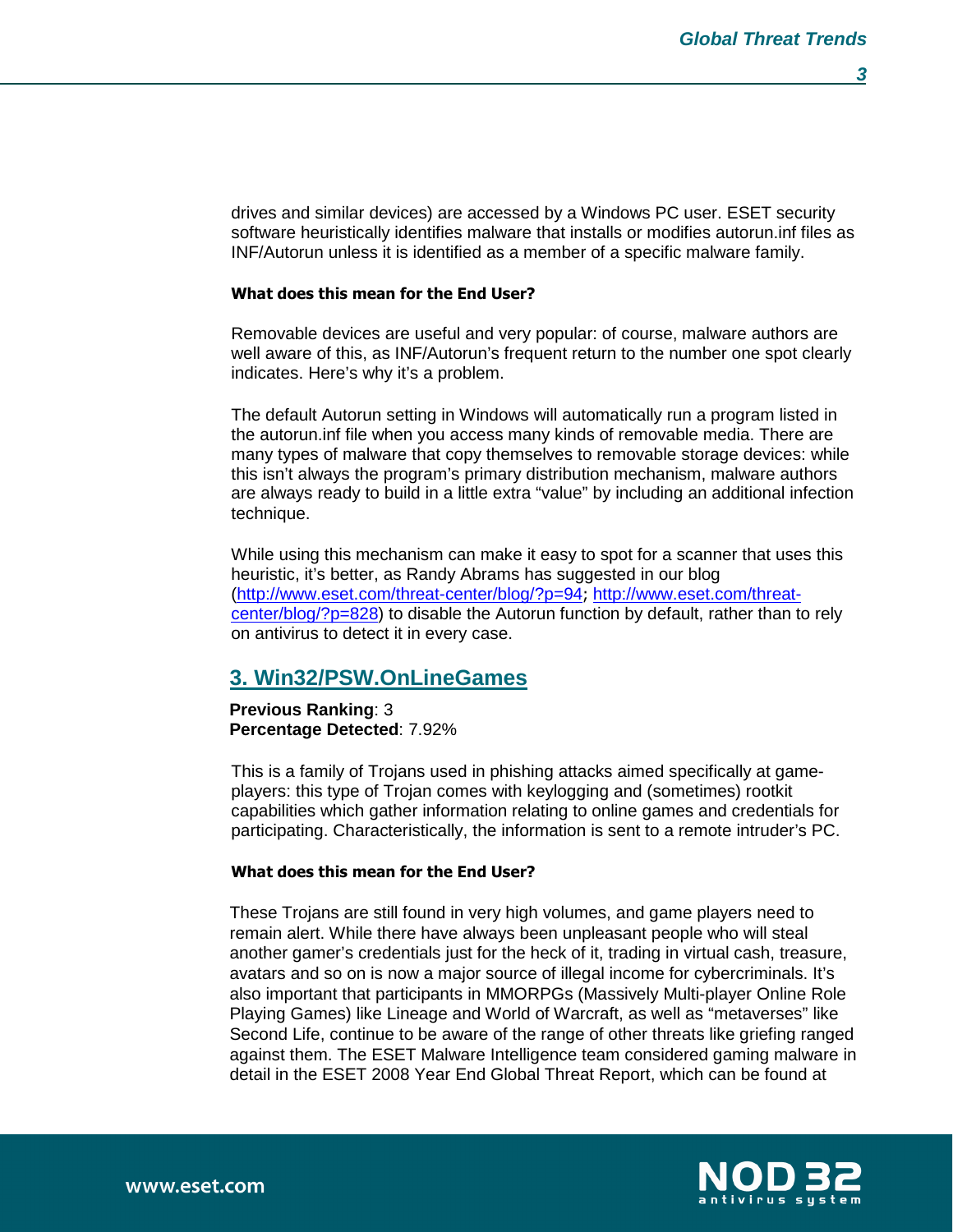drives and similar devices) are accessed by a Windows PC user. ESET security software heuristically identifies malware that installs or modifies autorun.inf files as INF/Autorun unless it is identified as a member of a specific malware family.

### What does this mean for the End User?

Removable devices are useful and very popular: of course, malware authors are well aware of this, as INF/Autorun's frequent return to the number one spot clearly indicates. Here's why it's a problem.

The default Autorun setting in Windows will automatically run a program listed in the autorun.inf file when you access many kinds of removable media. There are many types of malware that copy themselves to removable storage devices: while this isn't always the program's primary distribution mechanism, malware authors are always ready to build in a little extra "value" by including an additional infection technique.

While using this mechanism can make it easy to spot for a scanner that uses this heuristic, it's better, as Randy Abrams has suggested in our blog (http://www.eset.com/threat-center/blog/?p=94; http://www.eset.com/threatcenter/blog/?p=828) to disable the Autorun function by default, rather than to rely on antivirus to detect it in every case.

### **3. Win32/PSW.OnLineGames**

**Previous Ranking**: 3 **Percentage Detected**: 7.92%

This is a family of Trojans used in phishing attacks aimed specifically at gameplayers: this type of Trojan comes with keylogging and (sometimes) rootkit capabilities which gather information relating to online games and credentials for participating. Characteristically, the information is sent to a remote intruder's PC.

### What does this mean for the End User?

These Trojans are still found in very high volumes, and game players need to remain alert. While there have always been unpleasant people who will steal another gamer's credentials just for the heck of it, trading in virtual cash, treasure, avatars and so on is now a major source of illegal income for cybercriminals. It's also important that participants in MMORPGs (Massively Multi-player Online Role Playing Games) like Lineage and World of Warcraft, as well as "metaverses" like Second Life, continue to be aware of the range of other threats like griefing ranged against them. The ESET Malware Intelligence team considered gaming malware in detail in the ESET 2008 Year End Global Threat Report, which can be found at

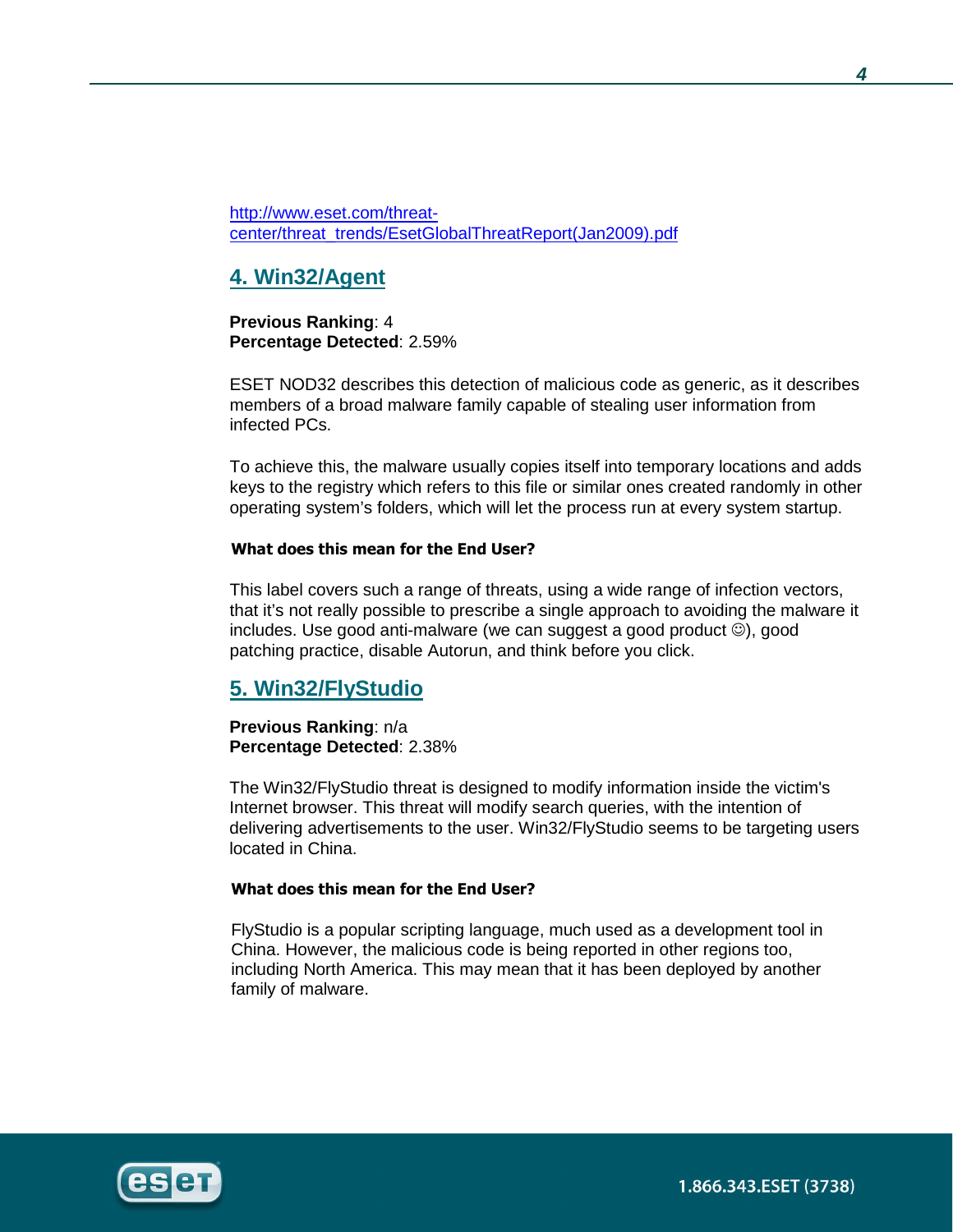http://www.eset.com/threatcenter/threat\_trends/EsetGlobalThreatReport(Jan2009).pdf

# **4. Win32/Agent**

**Previous Ranking**: 4 **Percentage Detected**: 2.59%

ESET NOD32 describes this detection of malicious code as generic, as it describes members of a broad malware family capable of stealing user information from infected PCs.

To achieve this, the malware usually copies itself into temporary locations and adds keys to the registry which refers to this file or similar ones created randomly in other operating system's folders, which will let the process run at every system startup.

### What does this mean for the End User?

This label covers such a range of threats, using a wide range of infection vectors, that it's not really possible to prescribe a single approach to avoiding the malware it includes. Use good anti-malware (we can suggest a good product ☺), good patching practice, disable Autorun, and think before you click.

### **5. Win32/FlyStudio**

**Previous Ranking**: n/a **Percentage Detected**: 2.38%

The Win32/FlyStudio threat is designed to modify information inside the victim's Internet browser. This threat will modify search queries, with the intention of delivering advertisements to the user. Win32/FlyStudio seems to be targeting users located in China.

### What does this mean for the End User?

FlyStudio is a popular scripting language, much used as a development tool in China. However, the malicious code is being reported in other regions too, including North America. This may mean that it has been deployed by another family of malware.

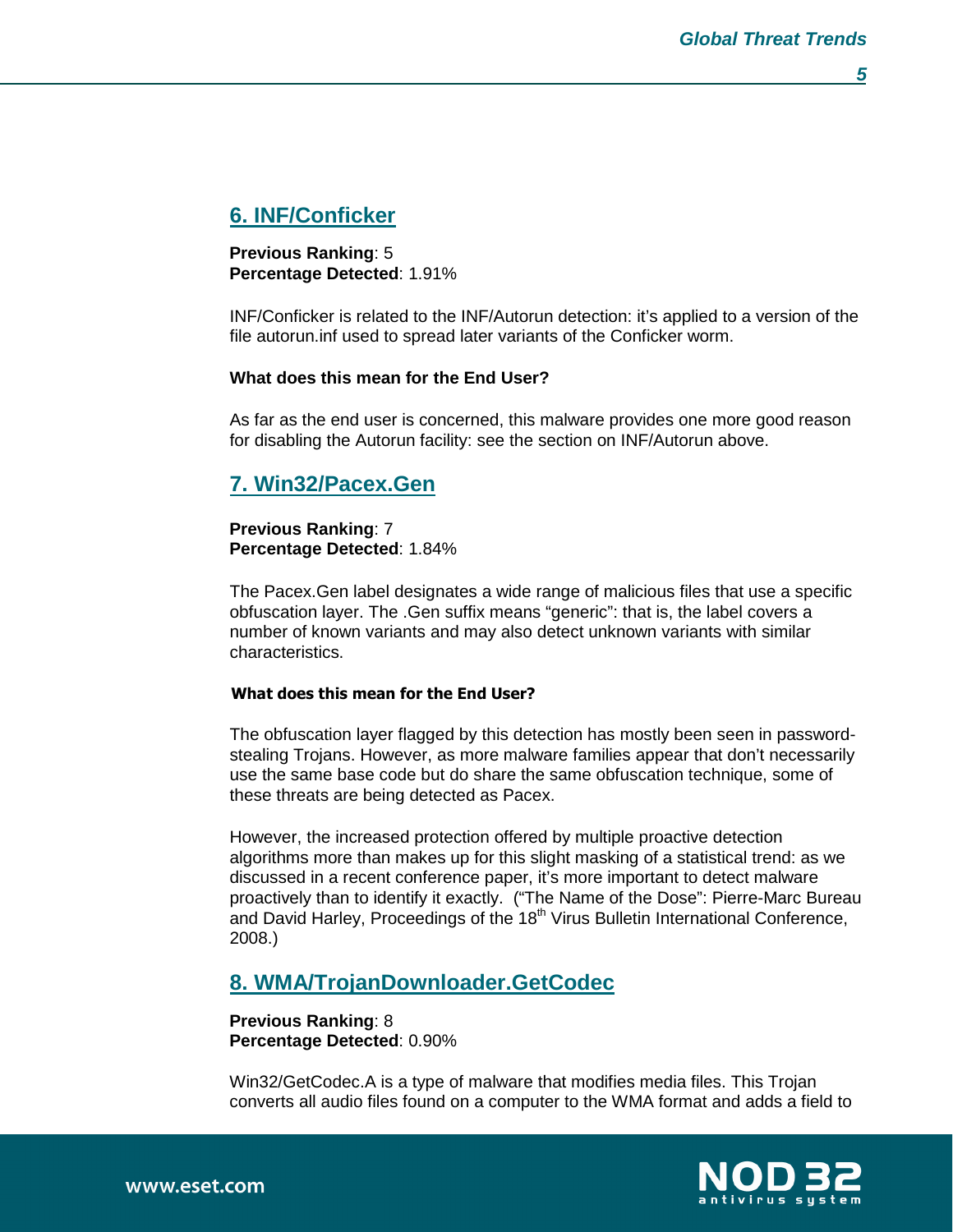# **6. INF/Conficker**

**Previous Ranking**: 5 **Percentage Detected**: 1.91%

INF/Conficker is related to the INF/Autorun detection: it's applied to a version of the file autorun.inf used to spread later variants of the Conficker worm.

### **What does this mean for the End User?**

As far as the end user is concerned, this malware provides one more good reason for disabling the Autorun facility: see the section on INF/Autorun above.

# **7. Win32/Pacex.Gen**

**Previous Ranking**: 7 **Percentage Detected**: 1.84%

The Pacex.Gen label designates a wide range of malicious files that use a specific obfuscation layer. The .Gen suffix means "generic": that is, the label covers a number of known variants and may also detect unknown variants with similar characteristics.

### What does this mean for the End User?

The obfuscation layer flagged by this detection has mostly been seen in passwordstealing Trojans. However, as more malware families appear that don't necessarily use the same base code but do share the same obfuscation technique, some of these threats are being detected as Pacex.

However, the increased protection offered by multiple proactive detection algorithms more than makes up for this slight masking of a statistical trend: as we discussed in a recent conference paper, it's more important to detect malware proactively than to identify it exactly. ("The Name of the Dose": Pierre-Marc Bureau and David Harley, Proceedings of the 18<sup>th</sup> Virus Bulletin International Conference, 2008.)

# **8. WMA/TrojanDownloader.GetCodec**

**Previous Ranking**: 8 **Percentage Detected**: 0.90%

Win32/GetCodec.A is a type of malware that modifies media files. This Trojan converts all audio files found on a computer to the WMA format and adds a field to

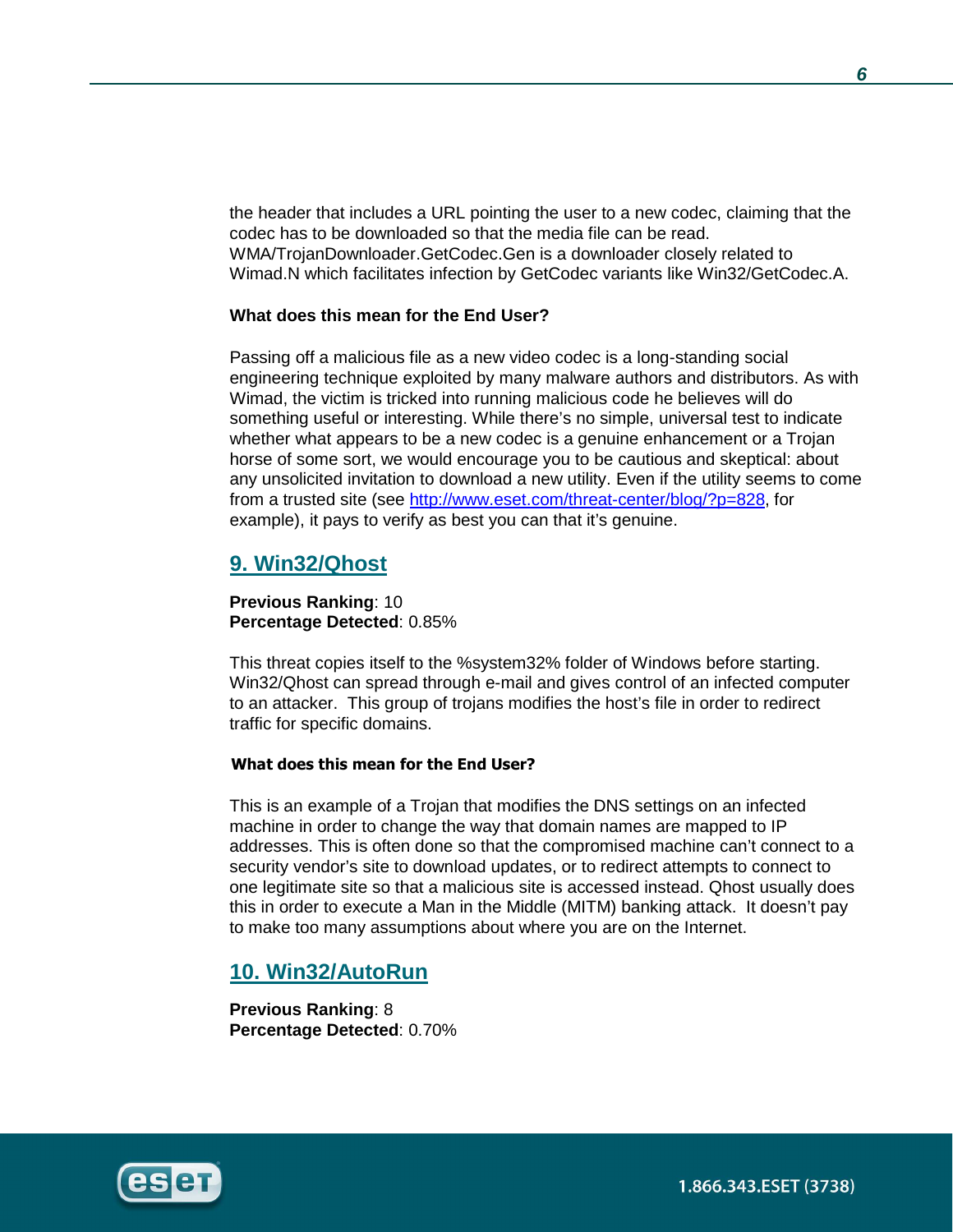the header that includes a URL pointing the user to a new codec, claiming that the codec has to be downloaded so that the media file can be read. WMA/TrojanDownloader.GetCodec.Gen is a downloader closely related to Wimad.N which facilitates infection by GetCodec variants like Win32/GetCodec.A.

### **What does this mean for the End User?**

Passing off a malicious file as a new video codec is a long-standing social engineering technique exploited by many malware authors and distributors. As with Wimad, the victim is tricked into running malicious code he believes will do something useful or interesting. While there's no simple, universal test to indicate whether what appears to be a new codec is a genuine enhancement or a Trojan horse of some sort, we would encourage you to be cautious and skeptical: about any unsolicited invitation to download a new utility. Even if the utility seems to come from a trusted site (see http://www.eset.com/threat-center/blog/?p=828, for example), it pays to verify as best you can that it's genuine.

## **9. Win32/Qhost**

**Previous Ranking**: 10 **Percentage Detected**: 0.85%

This threat copies itself to the %system32% folder of Windows before starting. Win32/Qhost can spread through e-mail and gives control of an infected computer to an attacker. This group of trojans modifies the host's file in order to redirect traffic for specific domains.

#### What does this mean for the End User?

This is an example of a Trojan that modifies the DNS settings on an infected machine in order to change the way that domain names are mapped to IP addresses. This is often done so that the compromised machine can't connect to a security vendor's site to download updates, or to redirect attempts to connect to one legitimate site so that a malicious site is accessed instead. Qhost usually does this in order to execute a Man in the Middle (MITM) banking attack. It doesn't pay to make too many assumptions about where you are on the Internet.

# **10. Win32/AutoRun**

**Previous Ranking**: 8 **Percentage Detected**: 0.70%



1.866.343.ESET (3738)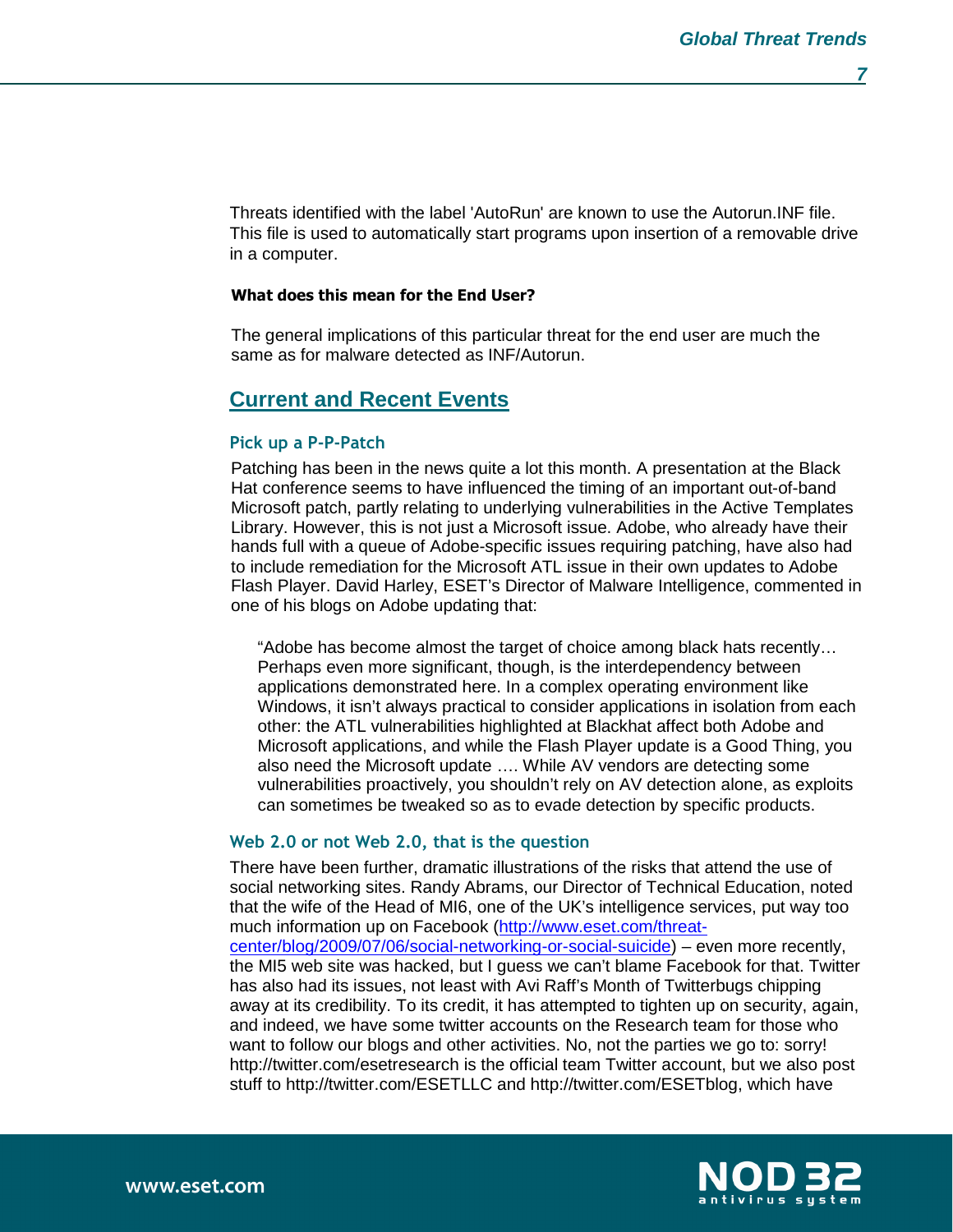Threats identified with the label 'AutoRun' are known to use the Autorun.INF file. This file is used to automatically start programs upon insertion of a removable drive in a computer.

#### What does this mean for the End User?

The general implications of this particular threat for the end user are much the same as for malware detected as INF/Autorun.

# **Current and Recent Events**

#### Pick up a P-P-Patch

Patching has been in the news quite a lot this month. A presentation at the Black Hat conference seems to have influenced the timing of an important out-of-band Microsoft patch, partly relating to underlying vulnerabilities in the Active Templates Library. However, this is not just a Microsoft issue. Adobe, who already have their hands full with a queue of Adobe-specific issues requiring patching, have also had to include remediation for the Microsoft ATL issue in their own updates to Adobe Flash Player. David Harley, ESET's Director of Malware Intelligence, commented in one of his blogs on Adobe updating that:

"Adobe has become almost the target of choice among black hats recently… Perhaps even more significant, though, is the interdependency between applications demonstrated here. In a complex operating environment like Windows, it isn't always practical to consider applications in isolation from each other: the ATL vulnerabilities highlighted at Blackhat affect both Adobe and Microsoft applications, and while the Flash Player update is a Good Thing, you also need the Microsoft update …. While AV vendors are detecting some vulnerabilities proactively, you shouldn't rely on AV detection alone, as exploits can sometimes be tweaked so as to evade detection by specific products.

#### Web 2.0 or not Web 2.0, that is the question

There have been further, dramatic illustrations of the risks that attend the use of social networking sites. Randy Abrams, our Director of Technical Education, noted that the wife of the Head of MI6, one of the UK's intelligence services, put way too much information up on Facebook (http://www.eset.com/threatcenter/blog/2009/07/06/social-networking-or-social-suicide) – even more recently, the MI5 web site was hacked, but I guess we can't blame Facebook for that. Twitter has also had its issues, not least with Avi Raff's Month of Twitterbugs chipping away at its credibility. To its credit, it has attempted to tighten up on security, again, and indeed, we have some twitter accounts on the Research team for those who want to follow our blogs and other activities. No, not the parties we go to: sorry! http://twitter.com/esetresearch is the official team Twitter account, but we also post stuff to http://twitter.com/ESETLLC and http://twitter.com/ESETblog, which have

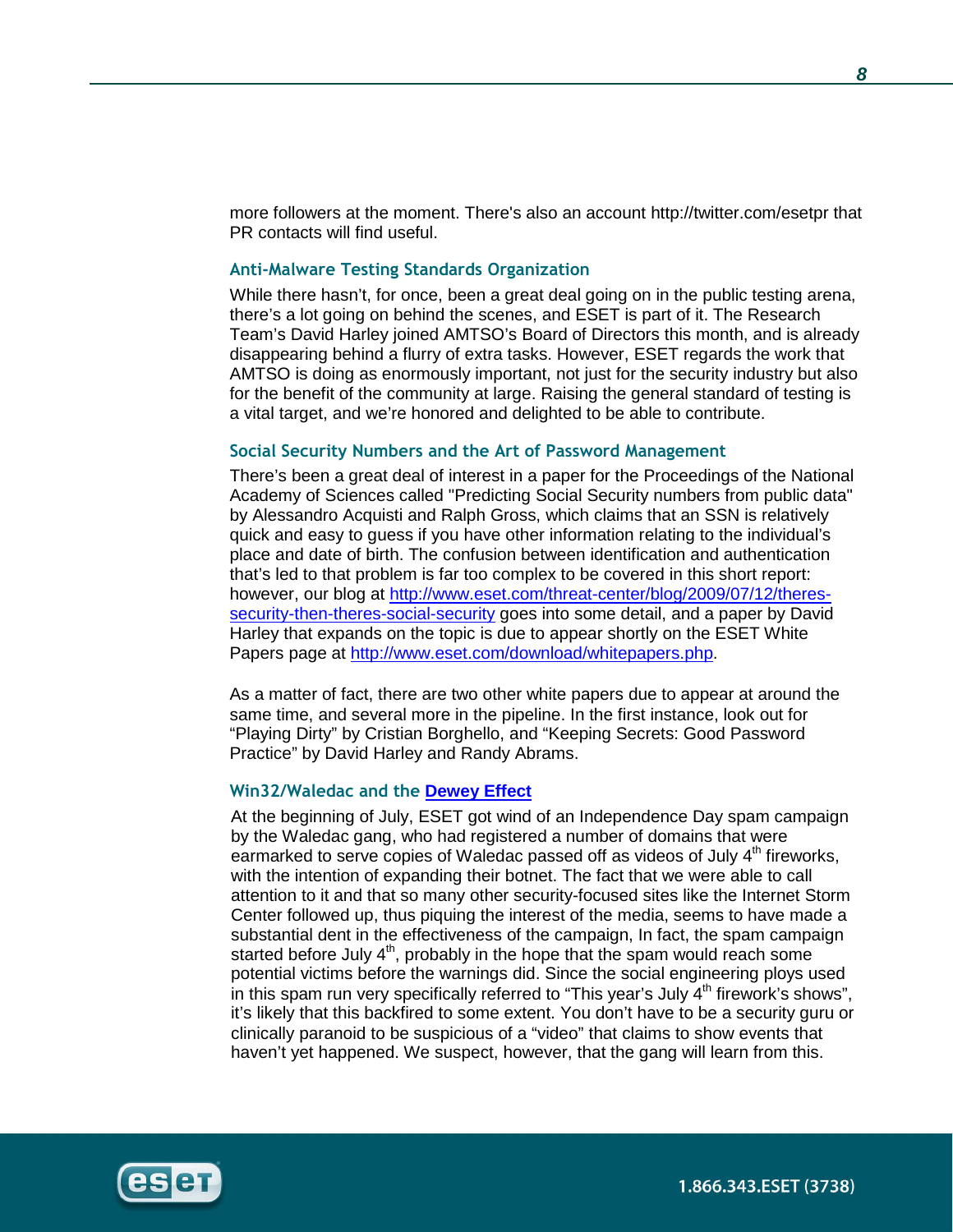more followers at the moment. There's also an account http://twitter.com/esetpr that PR contacts will find useful.

### Anti-Malware Testing Standards Organization

While there hasn't, for once, been a great deal going on in the public testing arena, there's a lot going on behind the scenes, and ESET is part of it. The Research Team's David Harley joined AMTSO's Board of Directors this month, and is already disappearing behind a flurry of extra tasks. However, ESET regards the work that AMTSO is doing as enormously important, not just for the security industry but also for the benefit of the community at large. Raising the general standard of testing is a vital target, and we're honored and delighted to be able to contribute.

#### Social Security Numbers and the Art of Password Management

There's been a great deal of interest in a paper for the Proceedings of the National Academy of Sciences called "Predicting Social Security numbers from public data" by Alessandro Acquisti and Ralph Gross, which claims that an SSN is relatively quick and easy to guess if you have other information relating to the individual's place and date of birth. The confusion between identification and authentication that's led to that problem is far too complex to be covered in this short report: however, our blog at http://www.eset.com/threat-center/blog/2009/07/12/theressecurity-then-theres-social-security goes into some detail, and a paper by David Harley that expands on the topic is due to appear shortly on the ESET White Papers page at http://www.eset.com/download/whitepapers.php.

As a matter of fact, there are two other white papers due to appear at around the same time, and several more in the pipeline. In the first instance, look out for "Playing Dirty" by Cristian Borghello, and "Keeping Secrets: Good Password Practice" by David Harley and Randy Abrams.

### Win32/Waledac and the **Dewey Effect**

At the beginning of July, ESET got wind of an Independence Day spam campaign by the Waledac gang, who had registered a number of domains that were earmarked to serve copies of Waledac passed off as videos of July 4<sup>th</sup> fireworks, with the intention of expanding their botnet. The fact that we were able to call attention to it and that so many other security-focused sites like the Internet Storm Center followed up, thus piquing the interest of the media, seems to have made a substantial dent in the effectiveness of the campaign, In fact, the spam campaign started before July  $4<sup>th</sup>$ , probably in the hope that the spam would reach some potential victims before the warnings did. Since the social engineering ploys used in this spam run very specifically referred to "This year's July  $4<sup>th</sup>$  firework's shows", it's likely that this backfired to some extent. You don't have to be a security guru or clinically paranoid to be suspicious of a "video" that claims to show events that haven't yet happened. We suspect, however, that the gang will learn from this.

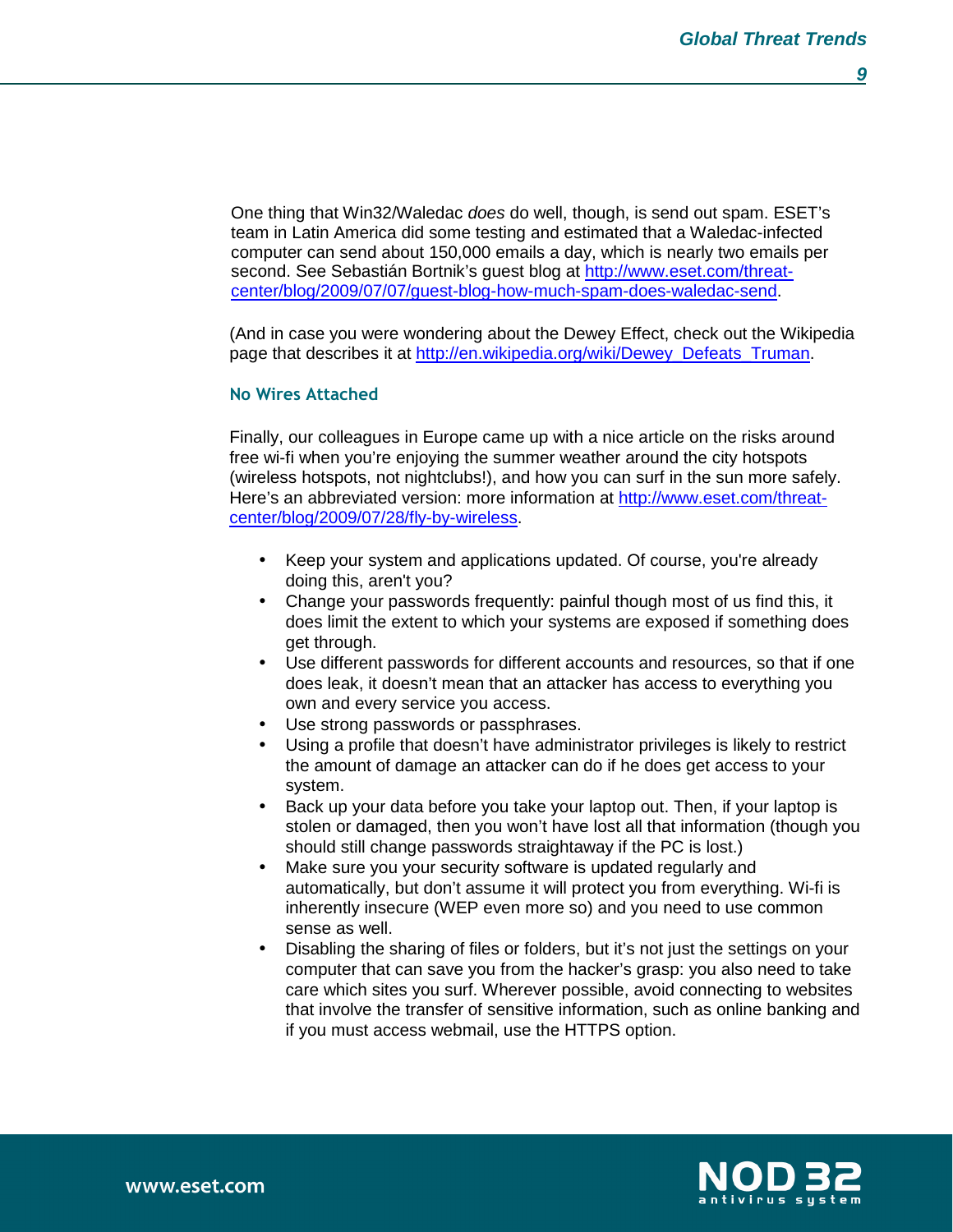One thing that Win32/Waledac does do well, though, is send out spam. ESET's team in Latin America did some testing and estimated that a Waledac-infected computer can send about 150,000 emails a day, which is nearly two emails per second. See Sebastián Bortnik's guest blog at http://www.eset.com/threatcenter/blog/2009/07/07/guest-blog-how-much-spam-does-waledac-send.

(And in case you were wondering about the Dewey Effect, check out the Wikipedia page that describes it at http://en.wikipedia.org/wiki/Dewey\_Defeats\_Truman.

### No Wires Attached

Finally, our colleagues in Europe came up with a nice article on the risks around free wi-fi when you're enjoying the summer weather around the city hotspots (wireless hotspots, not nightclubs!), and how you can surf in the sun more safely. Here's an abbreviated version: more information at http://www.eset.com/threatcenter/blog/2009/07/28/fly-by-wireless.

- Keep your system and applications updated. Of course, you're already doing this, aren't you?
- Change your passwords frequently: painful though most of us find this, it does limit the extent to which your systems are exposed if something does get through.
- Use different passwords for different accounts and resources, so that if one does leak, it doesn't mean that an attacker has access to everything you own and every service you access.
- Use strong passwords or passphrases.
- Using a profile that doesn't have administrator privileges is likely to restrict the amount of damage an attacker can do if he does get access to your system.
- Back up your data before you take your laptop out. Then, if your laptop is stolen or damaged, then you won't have lost all that information (though you should still change passwords straightaway if the PC is lost.)
- Make sure you your security software is updated regularly and automatically, but don't assume it will protect you from everything. Wi-fi is inherently insecure (WEP even more so) and you need to use common sense as well.
- Disabling the sharing of files or folders, but it's not just the settings on your computer that can save you from the hacker's grasp: you also need to take care which sites you surf. Wherever possible, avoid connecting to websites that involve the transfer of sensitive information, such as online banking and if you must access webmail, use the HTTPS option.